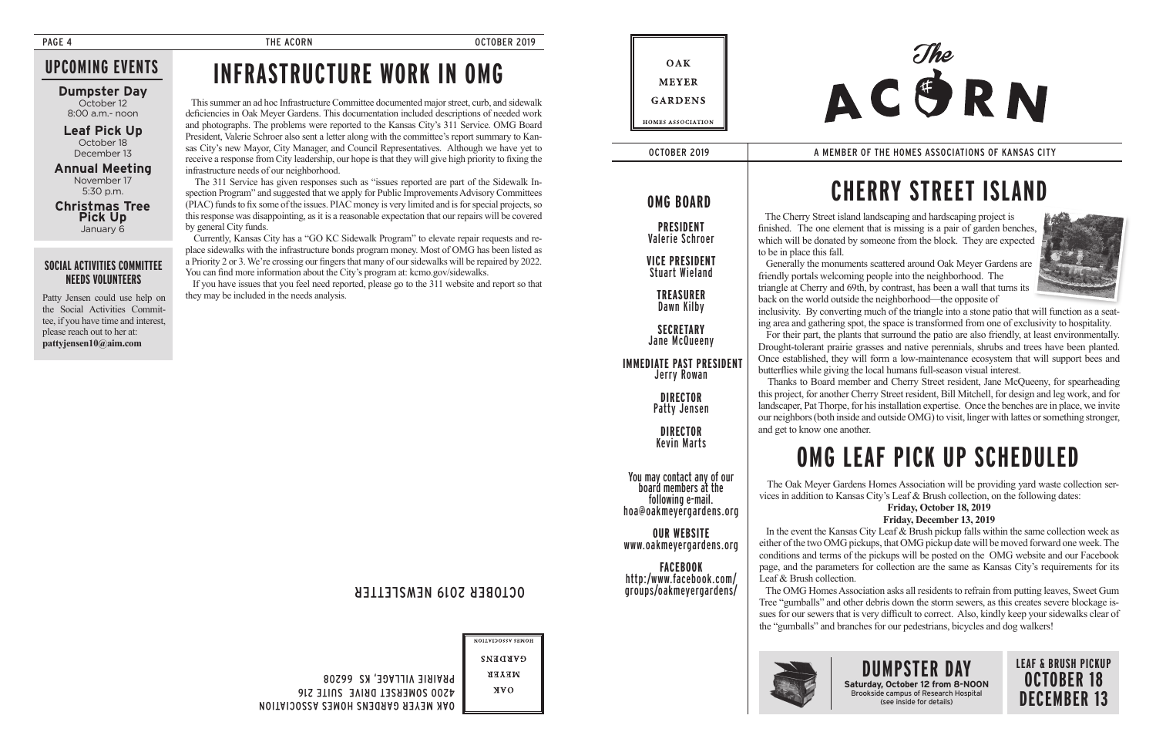**Annual Meeting** November 17 5:30 p.m.

**Dumpster Day** October 12 8:00 a.m.- noon

**Christmas Tree Pick Up** January 6

## **UPCOMING EVENTS**

**PRESIDENT** Valerie Schroer

You may contact any of our board members at the hoa@oakmevergardens.org

**VICE PRESIDENT** Stuart Wieland

> **TREASURER** Dawn Kilby

**SECRETARY** Jane McQueeny

 **IMMEDIATE PAST PRESIDENT** Jerry Rowan

> **DIRECTOR** Patty Jensen

**DIRECTOR** Kevin Marts

**OUR WEBSITE** www.oakmeyergardens.org

**FACEBOOK** http:/www.facebook.com/ groups/oakmeyergardens/

## **OMG BOARD**

OCTOBER 2019 A MEMBER OF THE HOMES ASSOCIATIONS OF KANSAS CITY

OCTOBER 2019 NEWSLETTER

HOMES ASSOCIATION

**GVKDEN2 NEVER** 

NVO

OAK MEYER GARDENS HOMES ASSOCIATION 4200 SOMERSET DRIVE SUITE 216

PRAIRIE VILLAGE, KS 66208

**Leaf Pick Up** October 18 December 13

### **SOCIAL ACTIVITIES COMMITTEE NEEDS VOLUNTEERS**

Patty Jensen could use help on the Social Activities Committee, if you have time and interest, please reach out to her at: **pattyjensen10@aim.com**

PAGE 4 CORN THE ACORN CONSTRUCTION OCTOBER 2019

**DUMPSTER DAY Saturday, October 12 from 8-NOON** Brookside campus of Research Hospital (see inside for details)

## **LEAF & BRUSH PICKUP OCTOBER 18 DECEMBER 13**

 The Cherry Street island landscaping and hardscaping project is finished. The one element that is missing is a pair of garden benches, which will be donated by someone from the block. They are expected to be in place this fall.

 Generally the monuments scattered around Oak Meyer Gardens are friendly portals welcoming people into the neighborhood. The triangle at Cherry and 69th, by contrast, has been a wall that turns its back on the world outside the neighborhood—the opposite of inclusivity. By converting much of the triangle into a stone patio that will function as a seating area and gathering spot, the space is transformed from one of exclusivity to hospitality.

 For their part, the plants that surround the patio are also friendly, at least environmentally. Drought-tolerant prairie grasses and native perennials, shrubs and trees have been planted. Once established, they will form a low-maintenance ecosystem that will support bees and butterflies while giving the local humans full-season visual interest.

 Thanks to Board member and Cherry Street resident, Jane McQueeny, for spearheading this project, for another Cherry Street resident, Bill Mitchell, for design and leg work, and for landscaper, Pat Thorpe, for his installation expertise. Once the benches are in place, we invite our neighbors (both inside and outside OMG) to visit, linger with lattes or something stronger, and get to know one another.

# **CHERRY STREET ISLAND**



 This summer an ad hoc Infrastructure Committee documented major street, curb, and sidewalk deficiencies in Oak Meyer Gardens. This documentation included descriptions of needed work and photographs. The problems were reported to the Kansas City's 311 Service. OMG Board President, Valerie Schroer also sent a letter along with the committee's report summary to Kansas City's new Mayor, City Manager, and Council Representatives. Although we have yet to receive a response from City leadership, our hope is that they will give high priority to fixing the infrastructure needs of our neighborhood.

 The 311 Service has given responses such as "issues reported are part of the Sidewalk Inspection Program" and suggested that we apply for Public Improvements Advisory Committees (PIAC) funds to fix some of the issues. PIAC money is very limited and is for special projects, so this response was disappointing, as it is a reasonable expectation that our repairs will be covered by general City funds.

 Currently, Kansas City has a "GO KC Sidewalk Program" to elevate repair requests and replace sidewalks with the infrastructure bonds program money. Most of OMG has been listed as a Priority 2 or 3. We're crossing our fingers that many of our sidewalks will be repaired by 2022. You can find more information about the City's program at: kcmo.gov/sidewalks.

 If you have issues that you feel need reported, please go to the 311 website and report so that they may be included in the needs analysis.

## OAK **MEYER GARDENS** HOMES ASSOCIATION



 The Oak Meyer Gardens Homes Association will be providing yard waste collection services in addition to Kansas City's Leaf & Brush collection, on the following dates:

### **Friday, October 18, 2019**

### **Friday, December 13, 2019**

 In the event the Kansas City Leaf & Brush pickup falls within the same collection week as either of the two OMG pickups, that OMG pickup date will be moved forward one week. The conditions and terms of the pickups will be posted on the OMG website and our Facebook page, and the parameters for collection are the same as Kansas City's requirements for its Leaf & Brush collection.

 The OMG Homes Association asks all residents to refrain from putting leaves, Sweet Gum Tree "gumballs" and other debris down the storm sewers, as this creates severe blockage issues for our sewers that is very difficult to correct. Also, kindly keep your sidewalks clear of the "gumballs" and branches for our pedestrians, bicycles and dog walkers!



# **OMG LEAF PICK UP SCHEDULED**

## **INFRASTRUCTURE WORK IN OMG**